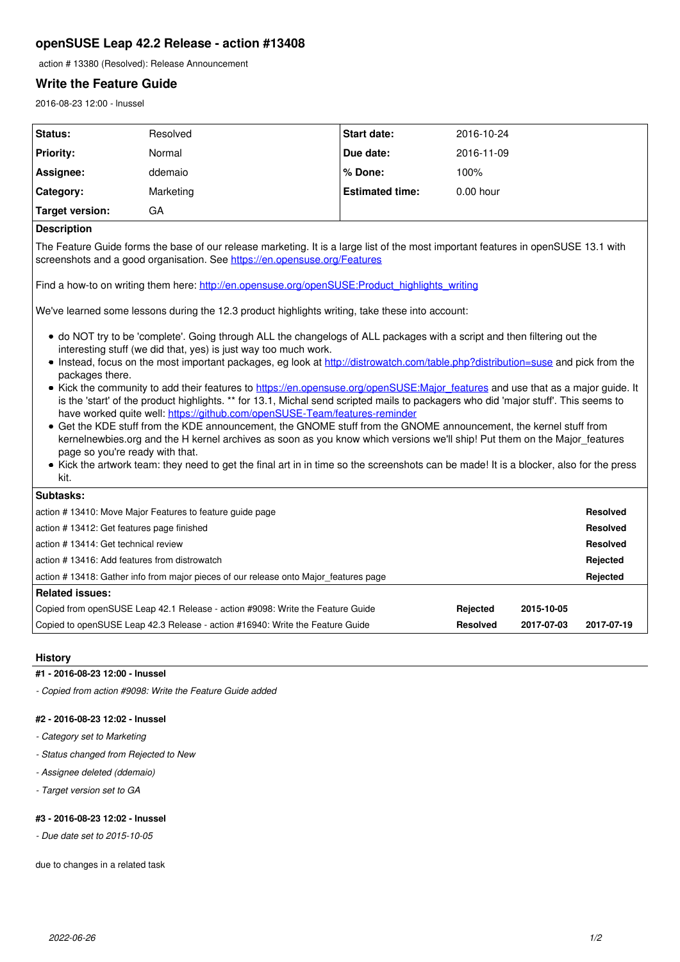# **openSUSE Leap 42.2 Release - action #13408**

action # 13380 (Resolved): Release Announcement

# **Write the Feature Guide**

2016-08-23 12:00 - lnussel

| Status:          | Resolved  | <b>Start date:</b>     | 2016-10-24  |
|------------------|-----------|------------------------|-------------|
| <b>Priority:</b> | Normal    | Due date:              | 2016-11-09  |
| Assignee:        | ddemaio   | l% Done:               | 100%        |
| Category:        | Marketing | <b>Estimated time:</b> | $0.00$ hour |
| Target version:  | GА        |                        |             |

# **Description**

The Feature Guide forms the base of our release marketing. It is a large list of the most important features in openSUSE 13.1 with screenshots and a good organisation. See<https://en.opensuse.org/Features>

Find a how-to on writing them here: [http://en.opensuse.org/openSUSE:Product\\_highlights\\_writing](http://en.opensuse.org/openSUSE:Product_highlights_writing)

We've learned some lessons during the 12.3 product highlights writing, take these into account:

- do NOT try to be 'complete'. Going through ALL the changelogs of ALL packages with a script and then filtering out the interesting stuff (we did that, yes) is just way too much work.
- Instead, focus on the most important packages, eg look at<http://distrowatch.com/table.php?distribution=suse> and pick from the packages there.
- Kick the community to add their features to [https://en.opensuse.org/openSUSE:Major\\_features](https://en.opensuse.org/openSUSE:Major_features) and use that as a major quide. It is the 'start' of the product highlights. \*\* for 13.1, Michal send scripted mails to packagers who did 'major stuff'. This seems to have worked quite well:<https://github.com/openSUSE-Team/features-reminder>
- Get the KDE stuff from the KDE announcement, the GNOME stuff from the GNOME announcement, the kernel stuff from kernelnewbies.org and the H kernel archives as soon as you know which versions we'll ship! Put them on the Major features page so you're ready with that.
- Kick the artwork team: they need to get the final art in in time so the screenshots can be made! It is a blocker, also for the press kit.

| <b>Subtasks:</b>                                                                      |                 |            |            |  |
|---------------------------------------------------------------------------------------|-----------------|------------|------------|--|
| action #13410: Move Major Features to feature guide page                              |                 |            |            |  |
| action # 13412: Get features page finished                                            |                 |            |            |  |
| l action # 13414: Get technical review                                                |                 |            |            |  |
| action #13416: Add features from distrowatch                                          |                 |            |            |  |
| action # 13418: Gather info from major pieces of our release onto Major features page |                 |            |            |  |
| Related issues:                                                                       |                 |            |            |  |
| Copied from openSUSE Leap 42.1 Release - action #9098: Write the Feature Guide        | Rejected        | 2015-10-05 |            |  |
| Copied to openSUSE Leap 42.3 Release - action #16940: Write the Feature Guide         | <b>Resolved</b> | 2017-07-03 | 2017-07-19 |  |

### **History**

#### **#1 - 2016-08-23 12:00 - lnussel**

*- Copied from action #9098: Write the Feature Guide added*

# **#2 - 2016-08-23 12:02 - lnussel**

- *Category set to Marketing*
- *Status changed from Rejected to New*
- *Assignee deleted (ddemaio)*
- *Target version set to GA*

# **#3 - 2016-08-23 12:02 - lnussel**

*- Due date set to 2015-10-05*

due to changes in a related task